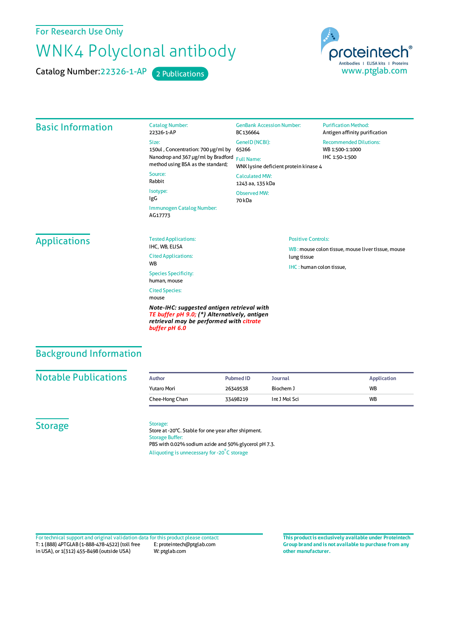For Research Use Only

# WNK4 Polyclonal antibody

Catalog Number: 22326-1-AP 2 Publications



#### Basic Information Catalog Number: 22326-1-AP Size: 150ul , Concentration: 700 μg/ml by Nanodrop and 367 μg/ml by Bradford Full Name: method using BSA as the standard; Source: Rabbit Isotype: IgG Immunogen Catalog Number: AG17773 GenBank Accession Number: BC136664 GeneID(NCBI): 65266 WNK lysine deficient protein kinase 4 CalculatedMW: 1243 aa, 135 kDa Observed MW: 70 kDa **Purification Method:** Antigen affinity purification Recommended Dilutions: WB 1:500-1:1000 IHC 1:50-1:500 **Applications** Tested Applications: IHC, WB, ELISA Cited Applications: WB Species Specificity: human, mouse Cited Species: mouse *Note-IHC: suggested antigen retrieval with TE buffer pH 9.0; (\*) Alternatively, antigen retrieval may be performed with citrate* Positive Controls: WB : mouse colon tissue, mouse liver tissue, mouse lung tissue IHC : human colon tissue,

### Background Information

#### **Notable Publications**

|  | Author         | <b>Pubmed ID</b> | Journal       | <b>Application</b> |
|--|----------------|------------------|---------------|--------------------|
|  | Yutaro Mori    | 26349538         | Biochem J     | <b>WB</b>          |
|  | Chee-Hong Chan | 33498219         | Int J Mol Sci | <b>WB</b>          |

**Storage** 

Storage:

*buffer pH 6.0*

Store at -20°C. Stable for one year after shipment. Storage Buffer: PBS with 0.02% sodium azide and 50% glycerol pH 7.3. Aliquoting is unnecessary for -20<sup>°</sup>C storage

T: 1 (888) 4PTGLAB (1-888-478-4522) (toll free in USA), or 1(312) 455-8498 (outside USA) E: proteintech@ptglab.com W: ptglab.com Fortechnical support and original validation data forthis product please contact: **This productis exclusively available under Proteintech**

**Group brand and is not available to purchase from any other manufacturer.**